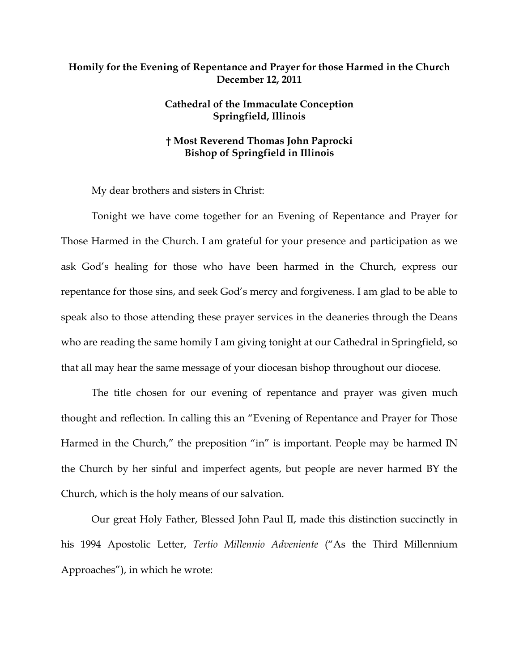## **Homily for the Evening of Repentance and Prayer for those Harmed in the Church December 12, 2011**

## **Cathedral of the Immaculate Conception Springfield, Illinois**

## **† Most Reverend Thomas John Paprocki Bishop of Springfield in Illinois**

My dear brothers and sisters in Christ:

Tonight we have come together for an Evening of Repentance and Prayer for Those Harmed in the Church. I am grateful for your presence and participation as we ask God's healing for those who have been harmed in the Church, express our repentance for those sins, and seek God's mercy and forgiveness. I am glad to be able to speak also to those attending these prayer services in the deaneries through the Deans who are reading the same homily I am giving tonight at our Cathedral in Springfield, so that all may hear the same message of your diocesan bishop throughout our diocese.

The title chosen for our evening of repentance and prayer was given much thought and reflection. In calling this an "Evening of Repentance and Prayer for Those Harmed in the Church," the preposition "in" is important. People may be harmed IN the Church by her sinful and imperfect agents, but people are never harmed BY the Church, which is the holy means of our salvation.

Our great Holy Father, Blessed John Paul II, made this distinction succinctly in his 1994 Apostolic Letter, *Tertio Millennio Adveniente* ("As the Third Millennium Approaches"), in which he wrote: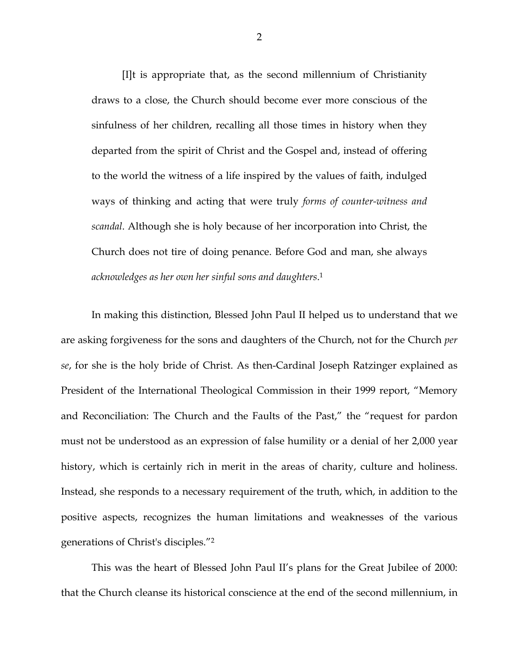[I]t is appropriate that, as the second millennium of Christianity draws to a close, the Church should become ever more conscious of the sinfulness of her children, recalling all those times in history when they departed from the spirit of Christ and the Gospel and, instead of offering to the world the witness of a life inspired by the values of faith, indulged ways of thinking and acting that were truly *forms of counter-witness and scandal*. Although she is holy because of her incorporation into Christ, the Church does not tire of doing penance. Before God and man, she always *acknowledges as her own her sinful sons and daughters*. 1

In making this distinction, Blessed John Paul II helped us to understand that we are asking forgiveness for the sons and daughters of the Church, not for the Church *per se*, for she is the holy bride of Christ. As then-Cardinal Joseph Ratzinger explained as President of the International Theological Commission in their 1999 report, "Memory and Reconciliation: The Church and the Faults of the Past," the "request for pardon must not be understood as an expression of false humility or a denial of her 2,000 year history, which is certainly rich in merit in the areas of charity, culture and holiness. Instead, she responds to a necessary requirement of the truth, which, in addition to the positive aspects, recognizes the human limitations and weaknesses of the various generations of Christ's disciples."2

This was the heart of Blessed John Paul II's plans for the Great Jubilee of 2000: that the Church cleanse its historical conscience at the end of the second millennium, in

2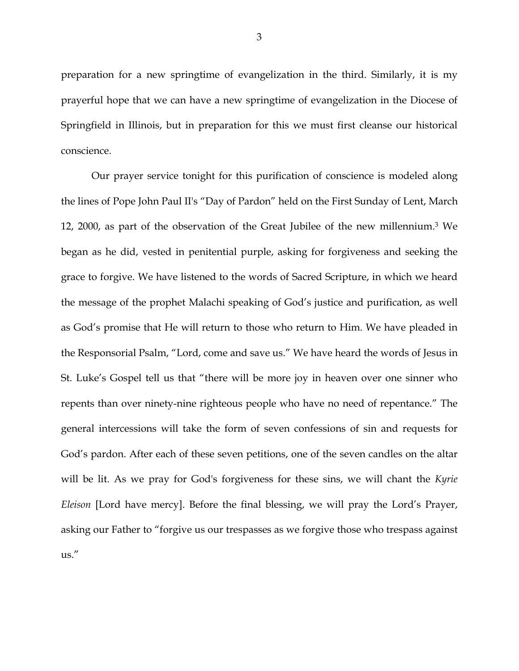preparation for a new springtime of evangelization in the third. Similarly, it is my prayerful hope that we can have a new springtime of evangelization in the Diocese of Springfield in Illinois, but in preparation for this we must first cleanse our historical conscience.

Our prayer service tonight for this purification of conscience is modeled along the lines of Pope John Paul II's "Day of Pardon" held on the First Sunday of Lent, March 12, 2000, as part of the observation of the Great Jubilee of the new millennium.3 We began as he did, vested in penitential purple, asking for forgiveness and seeking the grace to forgive. We have listened to the words of Sacred Scripture, in which we heard the message of the prophet Malachi speaking of God's justice and purification, as well as God's promise that He will return to those who return to Him. We have pleaded in the Responsorial Psalm, "Lord, come and save us." We have heard the words of Jesus in St. Luke's Gospel tell us that "there will be more joy in heaven over one sinner who repents than over ninety-nine righteous people who have no need of repentance." The general intercessions will take the form of seven confessions of sin and requests for God's pardon. After each of these seven petitions, one of the seven candles on the altar will be lit. As we pray for God's forgiveness for these sins, we will chant the *Kyrie Eleison* [Lord have mercy]. Before the final blessing, we will pray the Lord's Prayer, asking our Father to "forgive us our trespasses as we forgive those who trespass against us."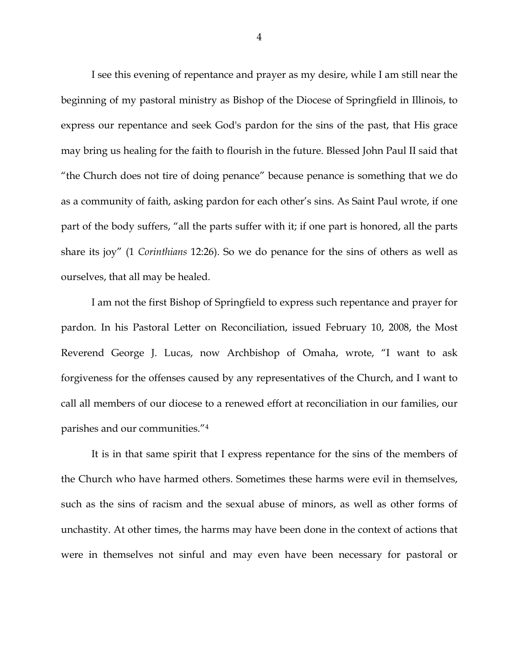I see this evening of repentance and prayer as my desire, while I am still near the beginning of my pastoral ministry as Bishop of the Diocese of Springfield in Illinois, to express our repentance and seek God's pardon for the sins of the past, that His grace may bring us healing for the faith to flourish in the future. Blessed John Paul II said that "the Church does not tire of doing penance" because penance is something that we do as a community of faith, asking pardon for each other's sins. As Saint Paul wrote, if one part of the body suffers, "all the parts suffer with it; if one part is honored, all the parts share its joy" (1 *Corinthians* 12:26). So we do penance for the sins of others as well as ourselves, that all may be healed.

I am not the first Bishop of Springfield to express such repentance and prayer for pardon. In his Pastoral Letter on Reconciliation, issued February 10, 2008, the Most Reverend George J. Lucas, now Archbishop of Omaha, wrote, "I want to ask forgiveness for the offenses caused by any representatives of the Church, and I want to call all members of our diocese to a renewed effort at reconciliation in our families, our parishes and our communities."4

It is in that same spirit that I express repentance for the sins of the members of the Church who have harmed others. Sometimes these harms were evil in themselves, such as the sins of racism and the sexual abuse of minors, as well as other forms of unchastity. At other times, the harms may have been done in the context of actions that were in themselves not sinful and may even have been necessary for pastoral or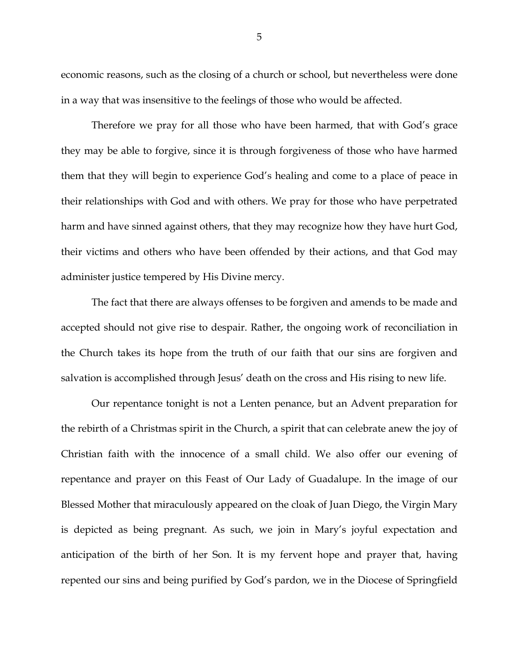economic reasons, such as the closing of a church or school, but nevertheless were done in a way that was insensitive to the feelings of those who would be affected.

Therefore we pray for all those who have been harmed, that with God's grace they may be able to forgive, since it is through forgiveness of those who have harmed them that they will begin to experience God's healing and come to a place of peace in their relationships with God and with others. We pray for those who have perpetrated harm and have sinned against others, that they may recognize how they have hurt God, their victims and others who have been offended by their actions, and that God may administer justice tempered by His Divine mercy.

The fact that there are always offenses to be forgiven and amends to be made and accepted should not give rise to despair. Rather, the ongoing work of reconciliation in the Church takes its hope from the truth of our faith that our sins are forgiven and salvation is accomplished through Jesus' death on the cross and His rising to new life.

Our repentance tonight is not a Lenten penance, but an Advent preparation for the rebirth of a Christmas spirit in the Church, a spirit that can celebrate anew the joy of Christian faith with the innocence of a small child. We also offer our evening of repentance and prayer on this Feast of Our Lady of Guadalupe. In the image of our Blessed Mother that miraculously appeared on the cloak of Juan Diego, the Virgin Mary is depicted as being pregnant. As such, we join in Mary's joyful expectation and anticipation of the birth of her Son. It is my fervent hope and prayer that, having repented our sins and being purified by God's pardon, we in the Diocese of Springfield